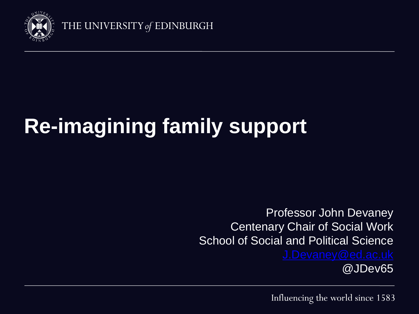

## **Re-imagining family support**

Professor John Devaney Centenary Chair of Social Work School of Social and Political Science @JDev65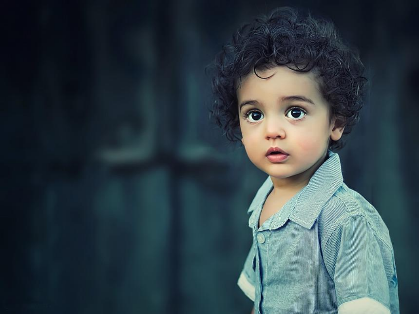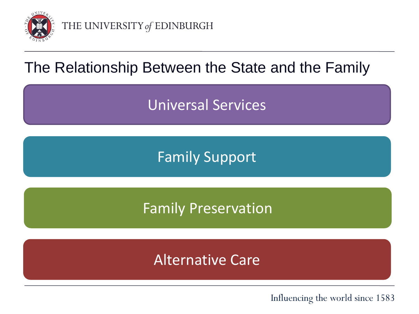

#### The Relationship Between the State and the Family

Universal Services

Family Support

Family Preservation

Alternative Care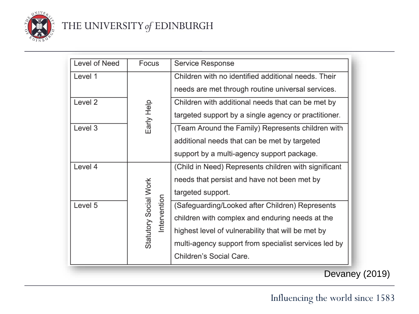

| Level of Need  | Focus                 | Service Response                                     |
|----------------|-----------------------|------------------------------------------------------|
| Level 1        |                       | Children with no identified additional needs. Their  |
|                |                       | needs are met through routine universal services.    |
| Level 2        |                       | Children with additional needs that can be met by    |
|                | Early Help            | targeted support by a single agency or practitioner. |
| Level 3        |                       | (Team Around the Family) Represents children with    |
|                |                       | additional needs that can be met by targeted         |
|                |                       | support by a multi-agency support package.           |
| Level 4        | Statutory Social Work | (Child in Need) Represents children with significant |
|                |                       | needs that persist and have not been met by          |
|                |                       | targeted support.                                    |
| Level 5        | Intervention          | (Safeguarding/Looked after Children) Represents      |
|                |                       | children with complex and enduring needs at the      |
|                |                       | highest level of vulnerability that will be met by   |
|                |                       | multi-agency support from specialist services led by |
|                |                       | Children's Social Care.                              |
| Devaney (2019) |                       |                                                      |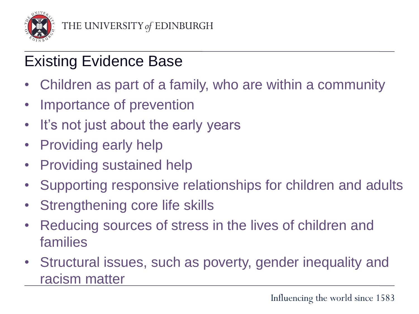

### Existing Evidence Base

- Children as part of a family, who are within a community
- Importance of prevention
- It's not just about the early years
- Providing early help
- Providing sustained help
- Supporting responsive relationships for children and adults
- Strengthening core life skills
- Reducing sources of stress in the lives of children and families
- Structural issues, such as poverty, gender inequality and racism matter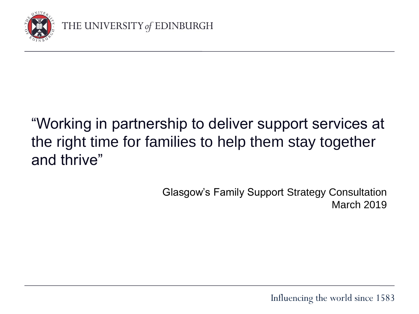

### "Working in partnership to deliver support services at the right time for families to help them stay together and thrive"

Glasgow's Family Support Strategy Consultation March 2019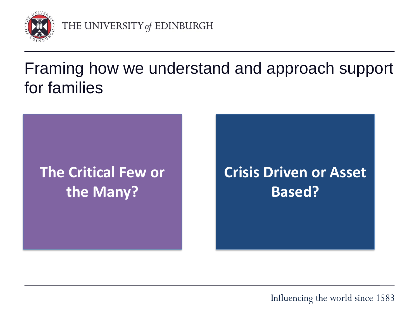

### Framing how we understand and approach support for families

## **The Critical Few or the Many?**

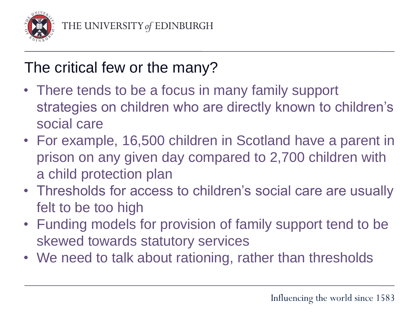

#### The critical few or the many?

- There tends to be a focus in many family support strategies on children who are directly known to children's social care
- For example, 16,500 children in Scotland have a parent in prison on any given day compared to 2,700 children with a child protection plan
- Thresholds for access to children's social care are usually felt to be too high
- Funding models for provision of family support tend to be skewed towards statutory services
- We need to talk about rationing, rather than thresholds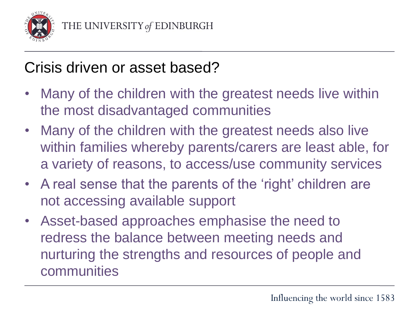

#### Crisis driven or asset based?

- Many of the children with the greatest needs live within the most disadvantaged communities
- Many of the children with the greatest needs also live within families whereby parents/carers are least able, for a variety of reasons, to access/use community services
- A real sense that the parents of the 'right' children are not accessing available support
- Asset-based approaches emphasise the need to redress the balance between meeting needs and nurturing the strengths and resources of people and communities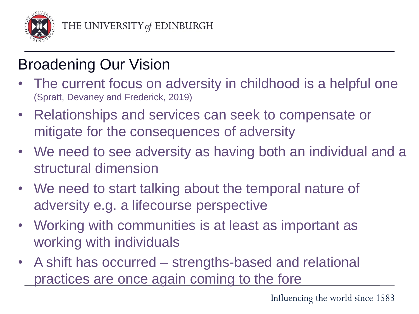

## Broadening Our Vision

- The current focus on adversity in childhood is a helpful one (Spratt, Devaney and Frederick, 2019)
- Relationships and services can seek to compensate or mitigate for the consequences of adversity
- We need to see adversity as having both an individual and a structural dimension
- We need to start talking about the temporal nature of adversity e.g. a lifecourse perspective
- Working with communities is at least as important as working with individuals
- A shift has occurred strengths-based and relational practices are once again coming to the fore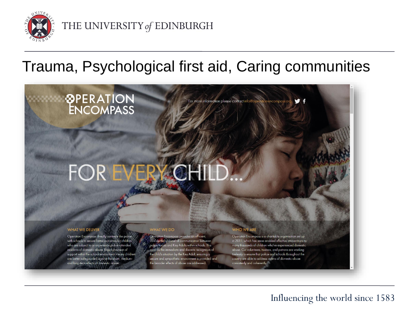

#### Trauma, Psychological first aid, Caring communities

# **OPERATION**<br>ENCOMPASS

#### **WHAT WE DELIVER**

Operation Encompass directly connects the police with schools to secure better outcomes for children who are subject to or experience police-attended incidents of domestic abuse. Rapid provision of support within the school environment means childrer are better safeguarded against the short-, medium and long-term effects of domestic abuse

#### **WHAT WE DO**

Operation Encompass provides an efficient, confidential channel of communication between police forces and Key Adults within schools. This enables the immediate and discrete recognition of the child's situation by the Key Adult, ensuring a secure and sympathetic environment is provided and the broader effects of abuse are addressed.

#### **WHO WE ARE**

For more information please contact info@operationencompass.or

Operation Encompass is a charitable organisation set up in 2011, which has since enabled effective interventions to many thousands of children who've experienced domestic abuse. Our volunteers, trustees, and patrons are working tirelessly to ensure that police and schools throughout the country are able to address victims of domestic abuse consistently and coherently.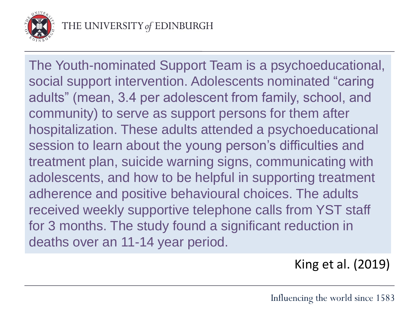

The Youth-nominated Support Team is a psychoeducational, social support intervention. Adolescents nominated "caring adults" (mean, 3.4 per adolescent from family, school, and community) to serve as support persons for them after hospitalization. These adults attended a psychoeducational session to learn about the young person's difficulties and treatment plan, suicide warning signs, communicating with adolescents, and how to be helpful in supporting treatment adherence and positive behavioural choices. The adults received weekly supportive telephone calls from YST staff for 3 months. The study found a significant reduction in deaths over an 11-14 year period.

King et al. (2019)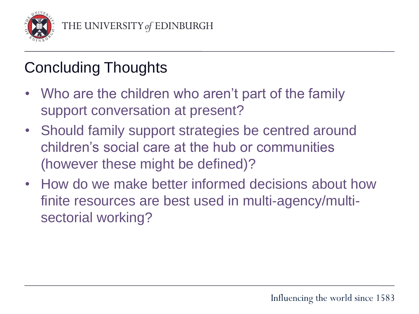

### Concluding Thoughts

- Who are the children who aren't part of the family support conversation at present?
- Should family support strategies be centred around children's social care at the hub or communities (however these might be defined)?
- How do we make better informed decisions about how finite resources are best used in multi-agency/multisectorial working?